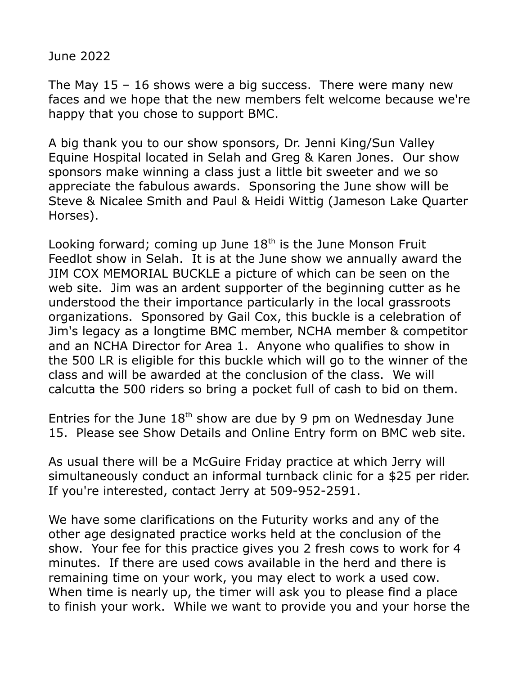June 2022

The May  $15 - 16$  shows were a big success. There were many new faces and we hope that the new members felt welcome because we're happy that you chose to support BMC.

A big thank you to our show sponsors, Dr. Jenni King/Sun Valley Equine Hospital located in Selah and Greg & Karen Jones. Our show sponsors make winning a class just a little bit sweeter and we so appreciate the fabulous awards. Sponsoring the June show will be Steve & Nicalee Smith and Paul & Heidi Wittig (Jameson Lake Quarter Horses).

Looking forward; coming up June  $18<sup>th</sup>$  is the June Monson Fruit Feedlot show in Selah. It is at the June show we annually award the JIM COX MEMORIAL BUCKLE a picture of which can be seen on the web site. Jim was an ardent supporter of the beginning cutter as he understood the their importance particularly in the local grassroots organizations. Sponsored by Gail Cox, this buckle is a celebration of Jim's legacy as a longtime BMC member, NCHA member & competitor and an NCHA Director for Area 1. Anyone who qualifies to show in the 500 LR is eligible for this buckle which will go to the winner of the class and will be awarded at the conclusion of the class. We will calcutta the 500 riders so bring a pocket full of cash to bid on them.

Entries for the June  $18<sup>th</sup>$  show are due by 9 pm on Wednesday June 15. Please see Show Details and Online Entry form on BMC web site.

As usual there will be a McGuire Friday practice at which Jerry will simultaneously conduct an informal turnback clinic for a \$25 per rider. If you're interested, contact Jerry at 509-952-2591.

We have some clarifications on the Futurity works and any of the other age designated practice works held at the conclusion of the show. Your fee for this practice gives you 2 fresh cows to work for 4 minutes. If there are used cows available in the herd and there is remaining time on your work, you may elect to work a used cow. When time is nearly up, the timer will ask you to please find a place to finish your work. While we want to provide you and your horse the